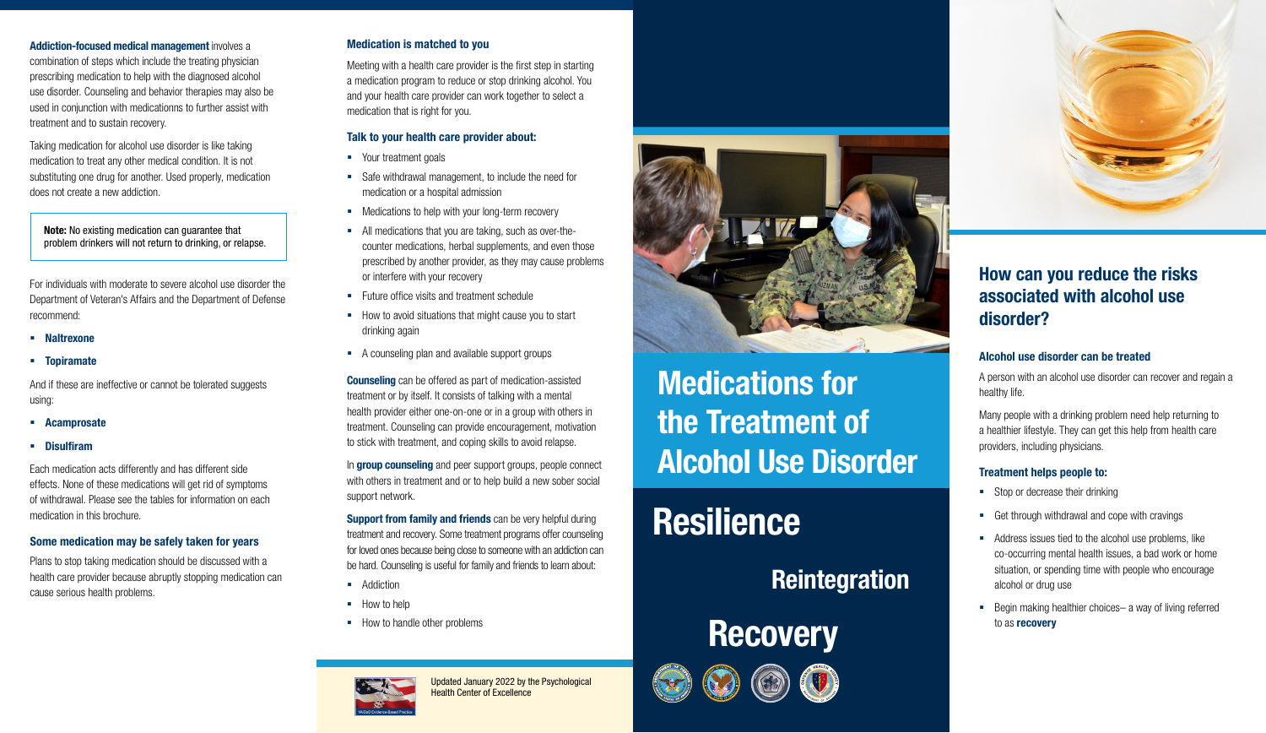### How can you reduce the risks associated with alcohol use disorder?

#### Alcohol use disorder can be treated

A person with an alcohol use disorder can recover and regain a healthy life.

Many people with a drinking problem need help returning to a healthier lifestyle. They can get this help from health care providers, including physicians.

- Stop or decrease their drinking
- Get through withdrawal and cope with cravings
- Address issues tied to the alcohol use problems, like co-occurring mental health issues, a bad work or home situation, or spending time with people who encourage alcohol or drug use
- Begin making healthier choices– a way of living referred to as recovery

#### Treatment helps people to:

- **Naltrexone**
- Topiramate

Addiction-focused medical management involves a combination of steps which include the treating physician prescribing medication to help with the diagnosed alcohol use disorder. Counseling and behavior therapies may also be used in conjunction with medicationns to further assist with treatment and to sustain recovery.

Taking medication for alcohol use disorder is like taking medication to treat any other medical condition. It is not substituting one drug for another. Used properly, medication does not create a new addiction.

For individuals with moderate to severe alcohol use disorder the Department of Veteran's Affairs and the Department of Defense recommend:

- Your treatment goals
- Safe withdrawal management, to include the need for medication or a hospital admission
- **Medications to help with your long-term recovery**
- All medications that you are taking, such as over-thecounter medications, herbal supplements, and even those prescribed by another provider, as they may cause problems or interfere with your recovery
- **Future office visits and treatment schedule**
- How to avoid situations that might cause you to start drinking again
- A counseling plan and available support groups

And if these are ineffective or cannot be tolerated suggests using:

- Acamprosate
- Disulfiram

**Counseling** can be offered as part of medication-assisted treatment or by itself. It consists of talking with a mental health provider either one-on-one or in a group with others in treatment. Counseling can provide encouragement, motivation to stick with treatment, and coping skills to avoid relapse.

In **group counseling** and peer support groups, people connect with others in treatment and or to help build a new sober social support network.

Each medication acts differently and has different side effects. None of these medications will get rid of symptoms of withdrawal. Please see the tables for information on each medication in this brochure.

**Support from family and friends** can be very helpful during treatment and recovery. Some treatment programs offer counseling for loved ones because being close to someone with an addiction can be hard. Counseling is useful for family and friends to learn about:

- **Addiction**
- How to help
- How to handle other problems



#### Some medication may be safely taken for years

Plans to stop taking medication should be discussed with a health care provider because abruptly stopping medication can cause serious health problems.

#### Medication is matched to you

Meeting with a health care provider is the first step in starting a medication program to reduce or stop drinking alcohol. You and your health care provider can work together to select a medication that is right for you.

#### Talk to your health care provider about:

Updated January 2022 by the Psychological Health Center of Excellence



# Medications for the Treatment of Alcohol Use Disorder

# Resilience

### **Reintegration**









Note: No existing medication can guarantee that problem drinkers will not return to drinking, or relapse.